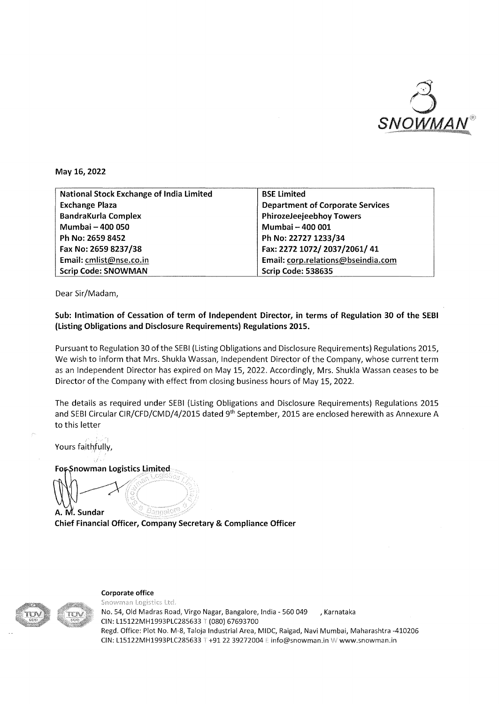

**May 16,2022** 

| <b>National Stock Exchange of India Limited</b> | <b>BSE Limited</b>                      |
|-------------------------------------------------|-----------------------------------------|
| <b>Exchange Plaza</b>                           | <b>Department of Corporate Services</b> |
| <b>BandraKurla Complex</b>                      | <b>PhirozeJeejeebhoy Towers</b>         |
| Mumbai - 400 050                                | Mumbai - 400 001                        |
| Ph No: 2659 8452                                | Ph No: 22727 1233/34                    |
| Fax No: 2659 8237/38                            | Fax: 2272 1072/ 2037/2061/ 41           |
| Email: cmlist@nse.co.in                         | Email: corp.relations@bseindia.com      |
| <b>Scrip Code: SNOWMAN</b>                      | Scrip Code: 538635                      |

Dear Sir/Madam,

## **Sub: Intimation of Cessation of term of Independent Director, in terms of Regulation 30 of the SEBI (Listing Obligations and Disclosure Requirements} Regulations 2015.**

Pursuant to Regulation 30 of the SEBI (Listing Obligations and Disclosure Requirements) Regulations 2015, We wish to inform that Mrs. Shukla Wassan, Independent Director of the Company, whose current term as an Independent Director has expired on May 15, 2022. Accordingly, Mrs. Shukla Wassan ceases to be Director of the Company with effect from closing business hours of May 15, 2022.

The details as required under SEBI (Listing Obligations and Disclosure Requirements) Regulations 2015 and SEBI Circular CIR/CFD/CMD/4/2015 dated 9<sup>th</sup> September, 2015 are enclosed herewith as Annexure A to this letter

Yours faithfully,

**For-Snowman Logistics Limited**  $\longrightarrow$ 

. **A. Sundar Chief Financial Officer, Company Secretary & Compliance Officer** 



Corporate office

Snowman Logistics Ltd. No. 54, Old Madras Road, Virgo Nagar, Bangalore, India- 560 049 , Karnataka CIN: L15122MH1993PLC285633 {080) 67693700 Regd. Office: Plot No. M-8, Taloja Industrial Area, MIDC, Raigad, Navi Mumbai, Maharashtra -410206 CIN: L15122MH1993PLC285633 T +91 22 39272004 E info@snowman.in W www.snowman.in